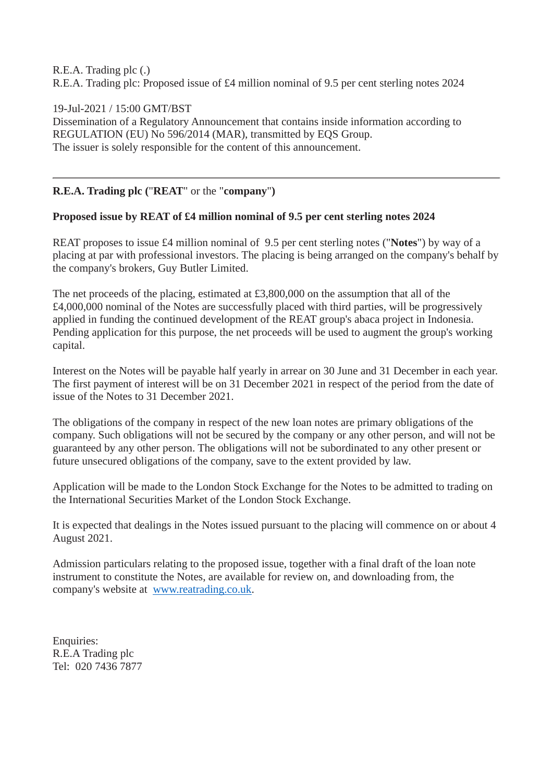## R.E.A. Trading plc (.) R.E.A. Trading plc: Proposed issue of £4 million nominal of 9.5 per cent sterling notes 2024

## 19-Jul-2021 / 15:00 GMT/BST

Dissemination of a Regulatory Announcement that contains inside information according to REGULATION (EU) No 596/2014 (MAR), transmitted by EQS Group. The issuer is solely responsible for the content of this announcement.

## **R.E.A. Trading plc (**"**REAT**" or the "**company**"**)**

## **Proposed issue by REAT of £4 million nominal of 9.5 per cent sterling notes 2024**

REAT proposes to issue £4 million nominal of 9.5 per cent sterling notes ("**Notes**") by way of a placing at par with professional investors. The placing is being arranged on the company's behalf by the company's brokers, Guy Butler Limited.

The net proceeds of the placing, estimated at £3,800,000 on the assumption that all of the £4,000,000 nominal of the Notes are successfully placed with third parties, will be progressively applied in funding the continued development of the REAT group's abaca project in Indonesia. Pending application for this purpose, the net proceeds will be used to augment the group's working capital.

Interest on the Notes will be payable half yearly in arrear on 30 June and 31 December in each year. The first payment of interest will be on 31 December 2021 in respect of the period from the date of issue of the Notes to 31 December 2021.

The obligations of the company in respect of the new loan notes are primary obligations of the company. Such obligations will not be secured by the company or any other person, and will not be guaranteed by any other person. The obligations will not be subordinated to any other present or future unsecured obligations of the company, save to the extent provided by law.

Application will be made to the London Stock Exchange for the Notes to be admitted to trading on the International Securities Market of the London Stock Exchange.

It is expected that dealings in the Notes issued pursuant to the placing will commence on or about 4 August 2021.

Admission particulars relating to the proposed issue, together with a final draft of the loan note instrument to constitute the Notes, are available for review on, and downloading from, the company's website at [www.reatrading.co.uk.](https://eqs-cockpit.com/cgi-bin/fncls.ssp?fn=redirect&url=5a1d2fe82630a42534d1ce7a4b6da40d&application_id=1219959&site_id=airport_minio&application_name=news)

Enquiries: R.E.A Trading plc Tel: 020 7436 7877